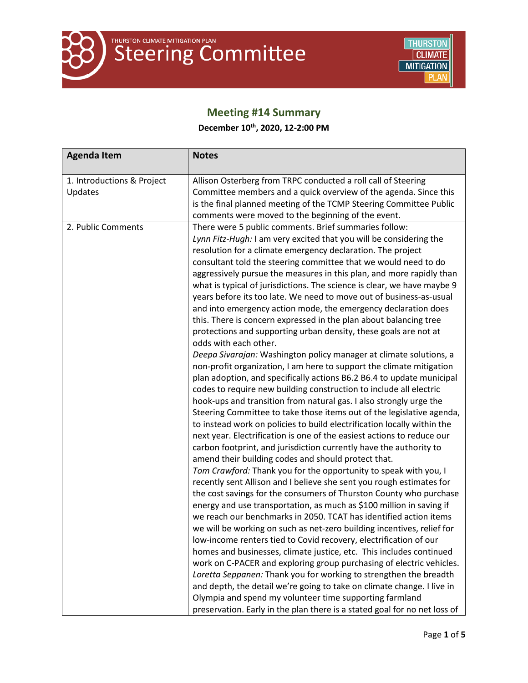

### **Meeting #14 Summary**

### **December 10th, 2020, 12-2:00 PM**

| <b>Agenda Item</b>                    | <b>Notes</b>                                                                                                                                                                                                                                                                                                                                                                                                                                                                                                                                                                                                                                                                                                                                                                                                                                                                                                                                                                                                                                                                                                                                                                                                                                                                                                                                                                                                                                                                                                                                                                                                                                                                                                                                                                                                                                                                                                                                                                                                                                                                                                                                                                                                                                                                                                                                                                                                  |
|---------------------------------------|---------------------------------------------------------------------------------------------------------------------------------------------------------------------------------------------------------------------------------------------------------------------------------------------------------------------------------------------------------------------------------------------------------------------------------------------------------------------------------------------------------------------------------------------------------------------------------------------------------------------------------------------------------------------------------------------------------------------------------------------------------------------------------------------------------------------------------------------------------------------------------------------------------------------------------------------------------------------------------------------------------------------------------------------------------------------------------------------------------------------------------------------------------------------------------------------------------------------------------------------------------------------------------------------------------------------------------------------------------------------------------------------------------------------------------------------------------------------------------------------------------------------------------------------------------------------------------------------------------------------------------------------------------------------------------------------------------------------------------------------------------------------------------------------------------------------------------------------------------------------------------------------------------------------------------------------------------------------------------------------------------------------------------------------------------------------------------------------------------------------------------------------------------------------------------------------------------------------------------------------------------------------------------------------------------------------------------------------------------------------------------------------------------------|
|                                       |                                                                                                                                                                                                                                                                                                                                                                                                                                                                                                                                                                                                                                                                                                                                                                                                                                                                                                                                                                                                                                                                                                                                                                                                                                                                                                                                                                                                                                                                                                                                                                                                                                                                                                                                                                                                                                                                                                                                                                                                                                                                                                                                                                                                                                                                                                                                                                                                               |
| 1. Introductions & Project<br>Updates | Allison Osterberg from TRPC conducted a roll call of Steering<br>Committee members and a quick overview of the agenda. Since this<br>is the final planned meeting of the TCMP Steering Committee Public<br>comments were moved to the beginning of the event.                                                                                                                                                                                                                                                                                                                                                                                                                                                                                                                                                                                                                                                                                                                                                                                                                                                                                                                                                                                                                                                                                                                                                                                                                                                                                                                                                                                                                                                                                                                                                                                                                                                                                                                                                                                                                                                                                                                                                                                                                                                                                                                                                 |
| 2. Public Comments                    | There were 5 public comments. Brief summaries follow:<br>Lynn Fitz-Hugh: I am very excited that you will be considering the<br>resolution for a climate emergency declaration. The project<br>consultant told the steering committee that we would need to do<br>aggressively pursue the measures in this plan, and more rapidly than<br>what is typical of jurisdictions. The science is clear, we have maybe 9<br>years before its too late. We need to move out of business-as-usual<br>and into emergency action mode, the emergency declaration does<br>this. There is concern expressed in the plan about balancing tree<br>protections and supporting urban density, these goals are not at<br>odds with each other.<br>Deepa Sivarajan: Washington policy manager at climate solutions, a<br>non-profit organization, I am here to support the climate mitigation<br>plan adoption, and specifically actions B6.2 B6.4 to update municipal<br>codes to require new building construction to include all electric<br>hook-ups and transition from natural gas. I also strongly urge the<br>Steering Committee to take those items out of the legislative agenda,<br>to instead work on policies to build electrification locally within the<br>next year. Electrification is one of the easiest actions to reduce our<br>carbon footprint, and jurisdiction currently have the authority to<br>amend their building codes and should protect that.<br>Tom Crawford: Thank you for the opportunity to speak with you, I<br>recently sent Allison and I believe she sent you rough estimates for<br>the cost savings for the consumers of Thurston County who purchase<br>energy and use transportation, as much as \$100 million in saving if<br>we reach our benchmarks in 2050. TCAT has identified action items<br>we will be working on such as net-zero building incentives, relief for<br>low-income renters tied to Covid recovery, electrification of our<br>homes and businesses, climate justice, etc. This includes continued<br>work on C-PACER and exploring group purchasing of electric vehicles.<br>Loretta Seppanen: Thank you for working to strengthen the breadth<br>and depth, the detail we're going to take on climate change. I live in<br>Olympia and spend my volunteer time supporting farmland<br>preservation. Early in the plan there is a stated goal for no net loss of |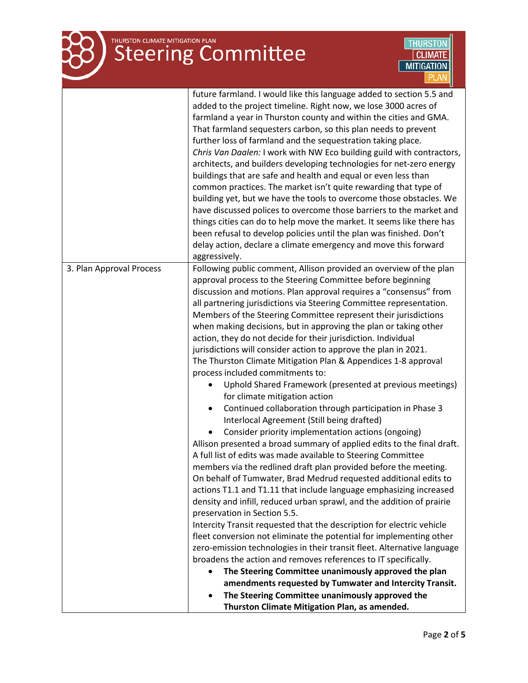## **THURSTON CLIMATE MITIGATION PLAN**<br>Steering Committee



|                          | future farmland. I would like this language added to section 5.5 and    |
|--------------------------|-------------------------------------------------------------------------|
|                          | added to the project timeline. Right now, we lose 3000 acres of         |
|                          | farmland a year in Thurston county and within the cities and GMA.       |
|                          | That farmland sequesters carbon, so this plan needs to prevent          |
|                          | further loss of farmland and the sequestration taking place.            |
|                          | Chris Van Daalen: I work with NW Eco building guild with contractors,   |
|                          | architects, and builders developing technologies for net-zero energy    |
|                          | buildings that are safe and health and equal or even less than          |
|                          | common practices. The market isn't quite rewarding that type of         |
|                          | building yet, but we have the tools to overcome those obstacles. We     |
|                          | have discussed polices to overcome those barriers to the market and     |
|                          | things cities can do to help move the market. It seems like there has   |
|                          | been refusal to develop policies until the plan was finished. Don't     |
|                          | delay action, declare a climate emergency and move this forward         |
|                          | aggressively.                                                           |
| 3. Plan Approval Process | Following public comment, Allison provided an overview of the plan      |
|                          | approval process to the Steering Committee before beginning             |
|                          | discussion and motions. Plan approval requires a "consensus" from       |
|                          | all partnering jurisdictions via Steering Committee representation.     |
|                          | Members of the Steering Committee represent their jurisdictions         |
|                          | when making decisions, but in approving the plan or taking other        |
|                          | action, they do not decide for their jurisdiction. Individual           |
|                          | jurisdictions will consider action to approve the plan in 2021.         |
|                          | The Thurston Climate Mitigation Plan & Appendices 1-8 approval          |
|                          | process included commitments to:                                        |
|                          | Uphold Shared Framework (presented at previous meetings)                |
|                          | for climate mitigation action                                           |
|                          | Continued collaboration through participation in Phase 3<br>$\bullet$   |
|                          | Interlocal Agreement (Still being drafted)                              |
|                          | Consider priority implementation actions (ongoing)                      |
|                          | Allison presented a broad summary of applied edits to the final draft.  |
|                          | A full list of edits was made available to Steering Committee           |
|                          | members via the redlined draft plan provided before the meeting.        |
|                          | On behalf of Tumwater, Brad Medrud requested additional edits to        |
|                          | actions T1.1 and T1.11 that include language emphasizing increased      |
|                          | density and infill, reduced urban sprawl, and the addition of prairie   |
|                          | preservation in Section 5.5.                                            |
|                          | Intercity Transit requested that the description for electric vehicle   |
|                          | fleet conversion not eliminate the potential for implementing other     |
|                          | zero-emission technologies in their transit fleet. Alternative language |
|                          | broadens the action and removes references to IT specifically.          |
|                          | The Steering Committee unanimously approved the plan                    |
|                          | amendments requested by Tumwater and Intercity Transit.                 |
|                          | The Steering Committee unanimously approved the<br>٠                    |
|                          | Thurston Climate Mitigation Plan, as amended.                           |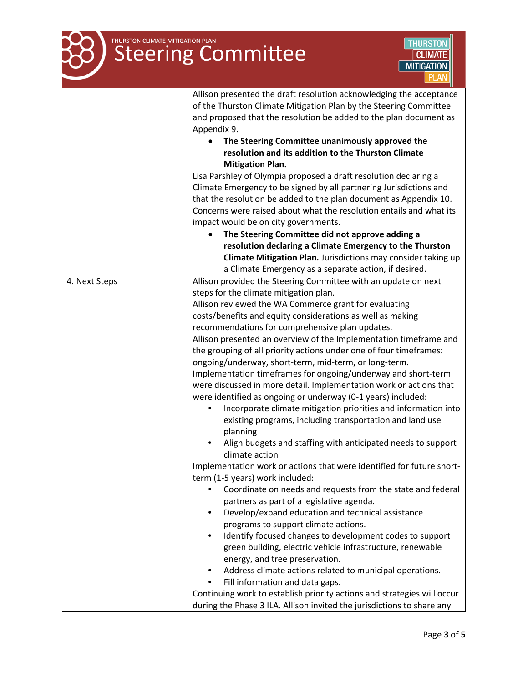# THURSTON CLIMATE MITIGATION PLAN



|               | Allison presented the draft resolution acknowledging the acceptance            |
|---------------|--------------------------------------------------------------------------------|
|               | of the Thurston Climate Mitigation Plan by the Steering Committee              |
|               | and proposed that the resolution be added to the plan document as              |
|               | Appendix 9.                                                                    |
|               | The Steering Committee unanimously approved the                                |
|               | resolution and its addition to the Thurston Climate                            |
|               | <b>Mitigation Plan.</b>                                                        |
|               | Lisa Parshley of Olympia proposed a draft resolution declaring a               |
|               | Climate Emergency to be signed by all partnering Jurisdictions and             |
|               | that the resolution be added to the plan document as Appendix 10.              |
|               | Concerns were raised about what the resolution entails and what its            |
|               | impact would be on city governments.                                           |
|               | The Steering Committee did not approve adding a                                |
|               | resolution declaring a Climate Emergency to the Thurston                       |
|               | Climate Mitigation Plan. Jurisdictions may consider taking up                  |
|               | a Climate Emergency as a separate action, if desired.                          |
| 4. Next Steps | Allison provided the Steering Committee with an update on next                 |
|               | steps for the climate mitigation plan.                                         |
|               | Allison reviewed the WA Commerce grant for evaluating                          |
|               | costs/benefits and equity considerations as well as making                     |
|               | recommendations for comprehensive plan updates.                                |
|               | Allison presented an overview of the Implementation timeframe and              |
|               | the grouping of all priority actions under one of four timeframes:             |
|               | ongoing/underway, short-term, mid-term, or long-term.                          |
|               | Implementation timeframes for ongoing/underway and short-term                  |
|               | were discussed in more detail. Implementation work or actions that             |
|               | were identified as ongoing or underway (0-1 years) included:                   |
|               | Incorporate climate mitigation priorities and information into                 |
|               | existing programs, including transportation and land use                       |
|               | planning                                                                       |
|               | Align budgets and staffing with anticipated needs to support<br>climate action |
|               | Implementation work or actions that were identified for future short-          |
|               | term (1-5 years) work included:                                                |
|               | Coordinate on needs and requests from the state and federal                    |
|               | partners as part of a legislative agenda.                                      |
|               | Develop/expand education and technical assistance<br>$\bullet$                 |
|               | programs to support climate actions.                                           |
|               | Identify focused changes to development codes to support<br>$\bullet$          |
|               | green building, electric vehicle infrastructure, renewable                     |
|               | energy, and tree preservation.                                                 |
|               | Address climate actions related to municipal operations.<br>٠                  |
|               | Fill information and data gaps.                                                |
|               | Continuing work to establish priority actions and strategies will occur        |
|               | during the Phase 3 ILA. Allison invited the jurisdictions to share any         |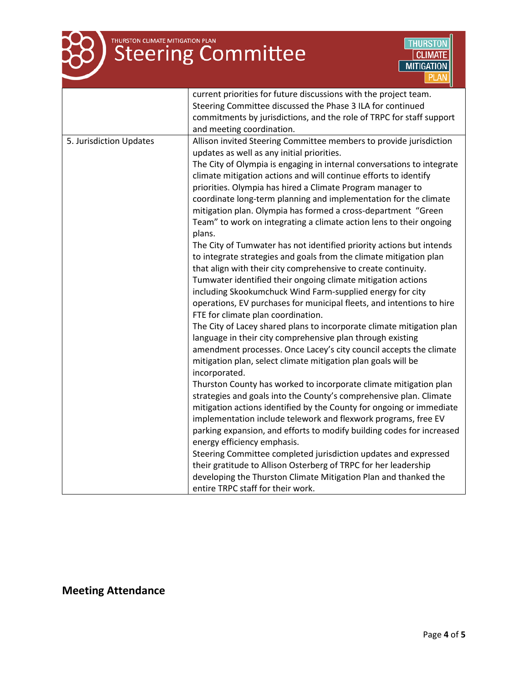

# **THURSTON CLIMATE MITIGATION PLAN**<br>Steering Committee



|                         | current priorities for future discussions with the project team.       |
|-------------------------|------------------------------------------------------------------------|
|                         | Steering Committee discussed the Phase 3 ILA for continued             |
|                         | commitments by jurisdictions, and the role of TRPC for staff support   |
|                         | and meeting coordination.                                              |
| 5. Jurisdiction Updates | Allison invited Steering Committee members to provide jurisdiction     |
|                         | updates as well as any initial priorities.                             |
|                         | The City of Olympia is engaging in internal conversations to integrate |
|                         | climate mitigation actions and will continue efforts to identify       |
|                         | priorities. Olympia has hired a Climate Program manager to             |
|                         | coordinate long-term planning and implementation for the climate       |
|                         | mitigation plan. Olympia has formed a cross-department "Green          |
|                         | Team" to work on integrating a climate action lens to their ongoing    |
|                         | plans.                                                                 |
|                         | The City of Tumwater has not identified priority actions but intends   |
|                         | to integrate strategies and goals from the climate mitigation plan     |
|                         | that align with their city comprehensive to create continuity.         |
|                         | Tumwater identified their ongoing climate mitigation actions           |
|                         | including Skookumchuck Wind Farm-supplied energy for city              |
|                         | operations, EV purchases for municipal fleets, and intentions to hire  |
|                         | FTE for climate plan coordination.                                     |
|                         | The City of Lacey shared plans to incorporate climate mitigation plan  |
|                         | language in their city comprehensive plan through existing             |
|                         | amendment processes. Once Lacey's city council accepts the climate     |
|                         | mitigation plan, select climate mitigation plan goals will be          |
|                         | incorporated.                                                          |
|                         | Thurston County has worked to incorporate climate mitigation plan      |
|                         | strategies and goals into the County's comprehensive plan. Climate     |
|                         | mitigation actions identified by the County for ongoing or immediate   |
|                         | implementation include telework and flexwork programs, free EV         |
|                         | parking expansion, and efforts to modify building codes for increased  |
|                         | energy efficiency emphasis.                                            |
|                         | Steering Committee completed jurisdiction updates and expressed        |
|                         | their gratitude to Allison Osterberg of TRPC for her leadership        |
|                         | developing the Thurston Climate Mitigation Plan and thanked the        |
|                         | entire TRPC staff for their work.                                      |

## **Meeting Attendance**